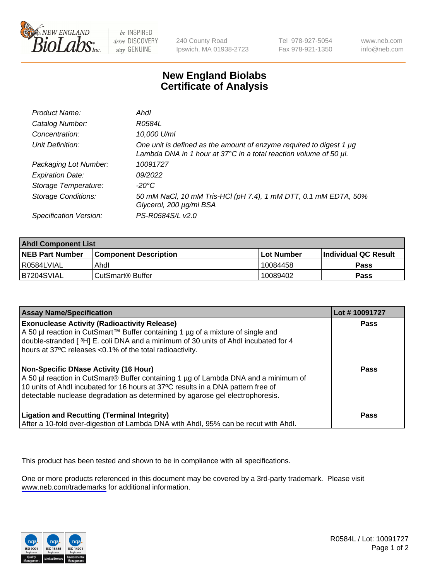

be INSPIRED drive DISCOVERY stay GENUINE

240 County Road Ipswich, MA 01938-2723 Tel 978-927-5054 Fax 978-921-1350

www.neb.com info@neb.com

## **New England Biolabs Certificate of Analysis**

| Product Name:              | Ahdl                                                                                                                                                    |
|----------------------------|---------------------------------------------------------------------------------------------------------------------------------------------------------|
| Catalog Number:            | R0584L                                                                                                                                                  |
| Concentration:             | 10,000 U/ml                                                                                                                                             |
| Unit Definition:           | One unit is defined as the amount of enzyme required to digest 1 µg<br>Lambda DNA in 1 hour at $37^{\circ}$ C in a total reaction volume of 50 $\mu$ l. |
| Packaging Lot Number:      | 10091727                                                                                                                                                |
| <b>Expiration Date:</b>    | 09/2022                                                                                                                                                 |
| Storage Temperature:       | -20°C                                                                                                                                                   |
| <b>Storage Conditions:</b> | 50 mM NaCl, 10 mM Tris-HCl (pH 7.4), 1 mM DTT, 0.1 mM EDTA, 50%<br>Glycerol, 200 µg/ml BSA                                                              |
| Specification Version:     | PS-R0584S/L v2.0                                                                                                                                        |

| <b>Ahdl Component List</b> |                              |            |                             |  |
|----------------------------|------------------------------|------------|-----------------------------|--|
| <b>NEB Part Number</b>     | <b>Component Description</b> | Lot Number | <b>Individual QC Result</b> |  |
| R0584LVIAL                 | Ahdl                         | 10084458   | Pass                        |  |
| B7204SVIAL                 | ⊧CutSmart® Buffer            | 10089402   | Pass                        |  |

| <b>Assay Name/Specification</b>                                                                                                                                                                                                                                                                   | Lot #10091727 |
|---------------------------------------------------------------------------------------------------------------------------------------------------------------------------------------------------------------------------------------------------------------------------------------------------|---------------|
| <b>Exonuclease Activity (Radioactivity Release)</b><br>A 50 µl reaction in CutSmart™ Buffer containing 1 µg of a mixture of single and<br>double-stranded [3H] E. coli DNA and a minimum of 30 units of Ahdl incubated for 4<br>hours at 37°C releases <0.1% of the total radioactivity.          | Pass          |
| Non-Specific DNase Activity (16 Hour)<br>A 50 µl reaction in CutSmart® Buffer containing 1 µg of Lambda DNA and a minimum of<br>10 units of Ahdl incubated for 16 hours at 37°C results in a DNA pattern free of<br>detectable nuclease degradation as determined by agarose gel electrophoresis. | Pass          |
| <b>Ligation and Recutting (Terminal Integrity)</b><br>After a 10-fold over-digestion of Lambda DNA with Ahdl, 95% can be recut with Ahdl.                                                                                                                                                         | <b>Pass</b>   |

This product has been tested and shown to be in compliance with all specifications.

One or more products referenced in this document may be covered by a 3rd-party trademark. Please visit <www.neb.com/trademarks>for additional information.